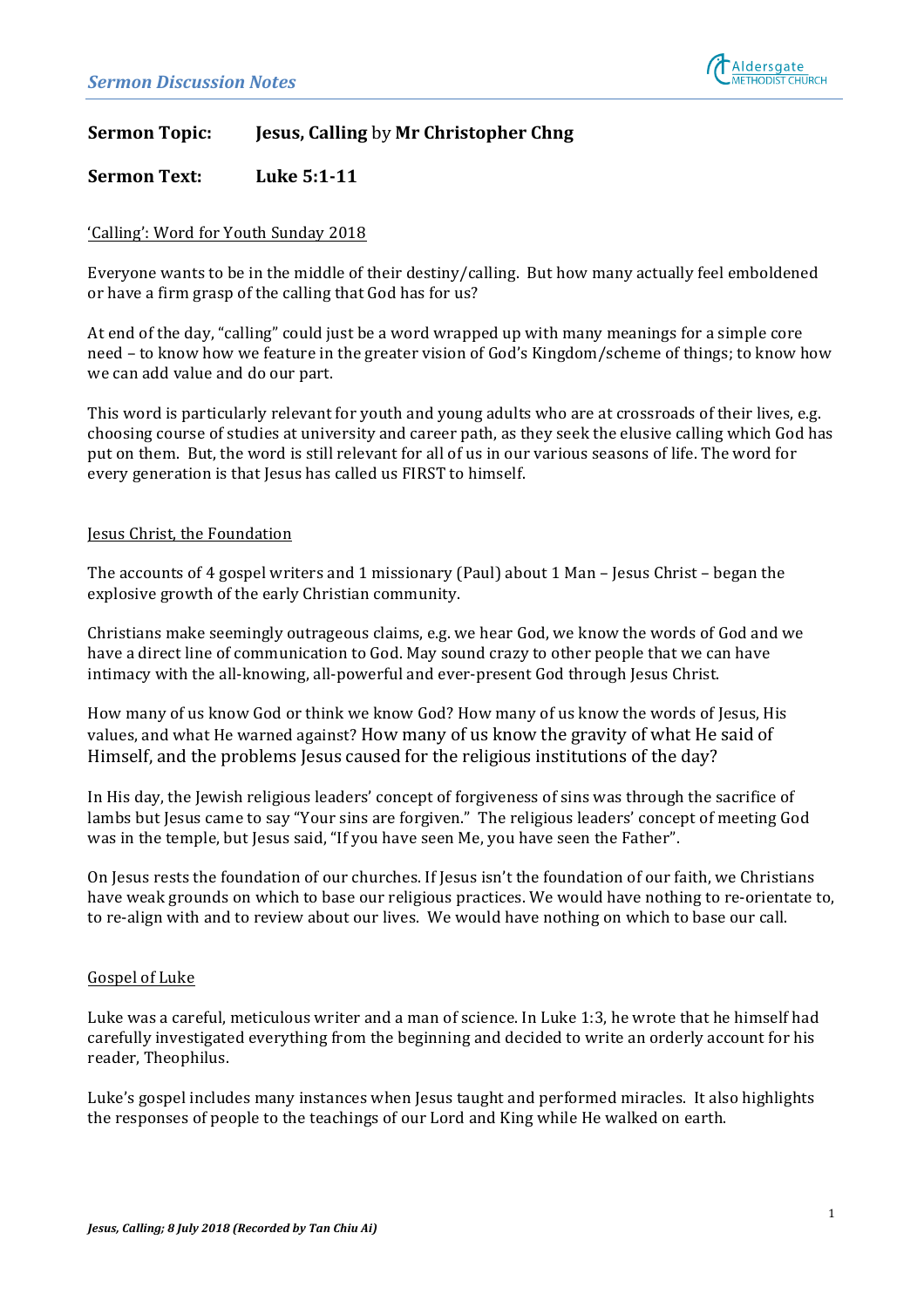

# **Sermon Topic: Jesus, Calling by Mr Christopher Chng**

## **Sermon Text:** Luke 5:1-11

### 'Calling': Word for Youth Sunday 2018

Everyone wants to be in the middle of their destiny/calling. But how many actually feel emboldened or have a firm grasp of the calling that God has for us?

At end of the day, "calling" could just be a word wrapped up with many meanings for a simple core need – to know how we feature in the greater vision of God's Kingdom/scheme of things; to know how we can add value and do our part.

This word is particularly relevant for youth and young adults who are at crossroads of their lives, e.g. choosing course of studies at university and career path, as they seek the elusive calling which God has put on them. But, the word is still relevant for all of us in our various seasons of life. The word for every generation is that Jesus has called us FIRST to himself.

#### Jesus Christ, the Foundation

The accounts of 4 gospel writers and 1 missionary (Paul) about 1 Man – Jesus Christ – began the explosive growth of the early Christian community.

Christians make seemingly outrageous claims, e.g. we hear God, we know the words of God and we have a direct line of communication to God. May sound crazy to other people that we can have intimacy with the all-knowing, all-powerful and ever-present God through Jesus Christ.

How many of us know God or think we know God? How many of us know the words of Jesus, His values, and what He warned against? How many of us know the gravity of what He said of Himself, and the problems Jesus caused for the religious institutions of the day?

In His day, the lewish religious leaders' concept of forgiveness of sins was through the sacrifice of lambs but Jesus came to say "Your sins are forgiven." The religious leaders' concept of meeting God was in the temple, but Jesus said, "If you have seen Me, you have seen the Father".

On Jesus rests the foundation of our churches. If Jesus isn't the foundation of our faith, we Christians have weak grounds on which to base our religious practices. We would have nothing to re-orientate to, to re-align with and to review about our lives. We would have nothing on which to base our call.

#### Gospel of Luke

Luke was a careful, meticulous writer and a man of science. In Luke 1:3, he wrote that he himself had carefully investigated everything from the beginning and decided to write an orderly account for his reader, Theophilus.

Luke's gospel includes many instances when lesus taught and performed miracles. It also highlights the responses of people to the teachings of our Lord and King while He walked on earth.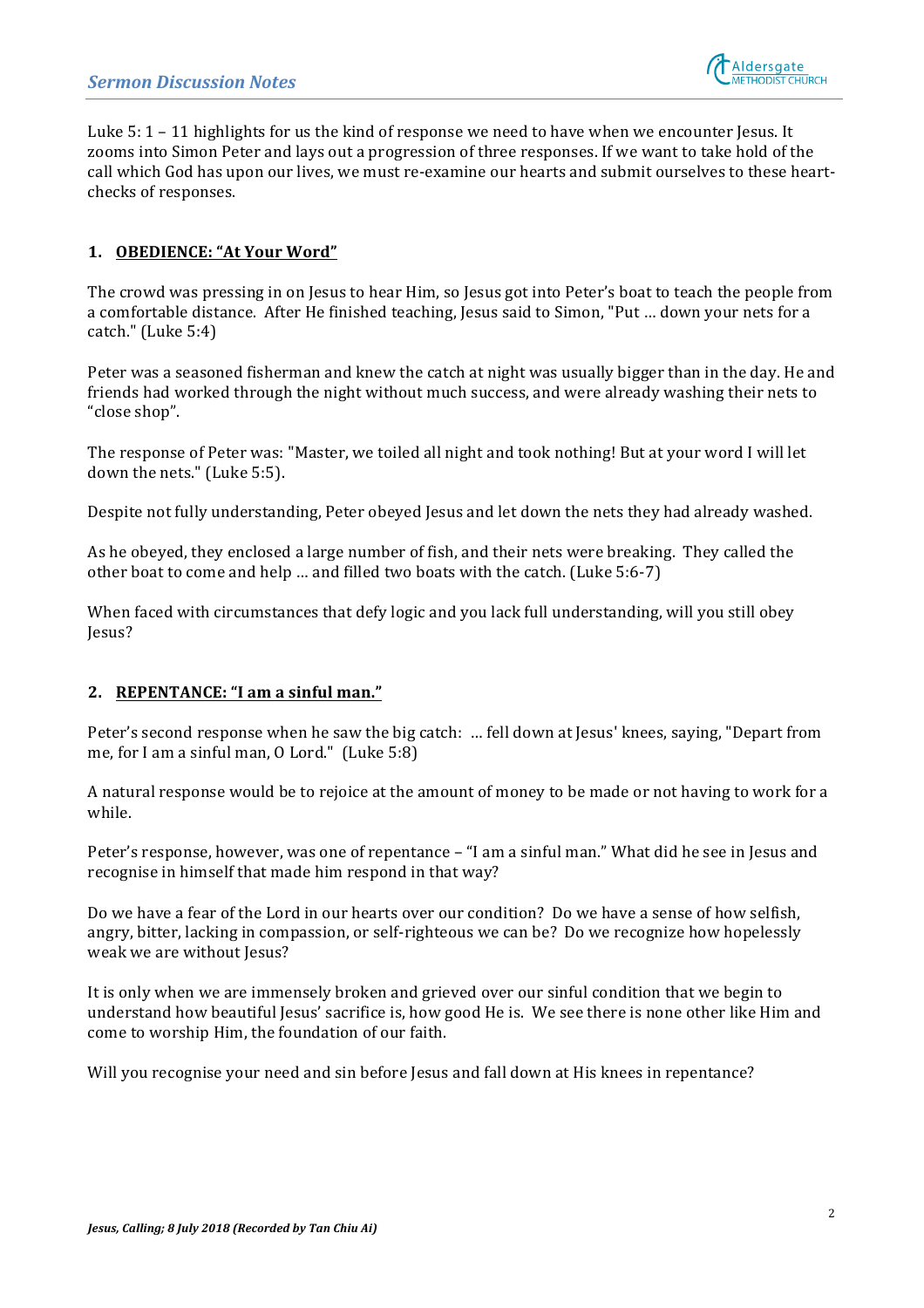

Luke  $5: 1 - 11$  highlights for us the kind of response we need to have when we encounter Jesus. It zooms into Simon Peter and lays out a progression of three responses. If we want to take hold of the call which God has upon our lives, we must re-examine our hearts and submit ourselves to these heartchecks of responses.

## **1. OBEDIENCE: "At Your Word"**

The crowd was pressing in on Jesus to hear Him, so Jesus got into Peter's boat to teach the people from a comfortable distance. After He finished teaching, Jesus said to Simon, "Put ... down your nets for a catch."  $(Luke 5:4)$ 

Peter was a seasoned fisherman and knew the catch at night was usually bigger than in the day. He and friends had worked through the night without much success, and were already washing their nets to "close shop".

The response of Peter was: "Master, we toiled all night and took nothing! But at your word I will let down the nets." (Luke 5:5).

Despite not fully understanding, Peter obeyed Jesus and let down the nets they had already washed.

As he obeyed, they enclosed a large number of fish, and their nets were breaking. They called the other boat to come and help ... and filled two boats with the catch. (Luke 5:6-7)

When faced with circumstances that defy logic and you lack full understanding, will you still obey Jesus?

#### **2. REPENTANCE:** "I am a sinful man."

Peter's second response when he saw the big catch: ... fell down at Jesus' knees, saying, "Depart from me, for I am a sinful man,  $0$  Lord." (Luke  $5:8$ )

A natural response would be to rejoice at the amount of money to be made or not having to work for a while. 

Peter's response, however, was one of repentance – "I am a sinful man." What did he see in Jesus and recognise in himself that made him respond in that way?

Do we have a fear of the Lord in our hearts over our condition? Do we have a sense of how selfish, angry, bitter, lacking in compassion, or self-righteous we can be? Do we recognize how hopelessly weak we are without Jesus?

It is only when we are immensely broken and grieved over our sinful condition that we begin to understand how beautiful Jesus' sacrifice is, how good He is. We see there is none other like Him and come to worship Him, the foundation of our faith.

Will you recognise your need and sin before Jesus and fall down at His knees in repentance?